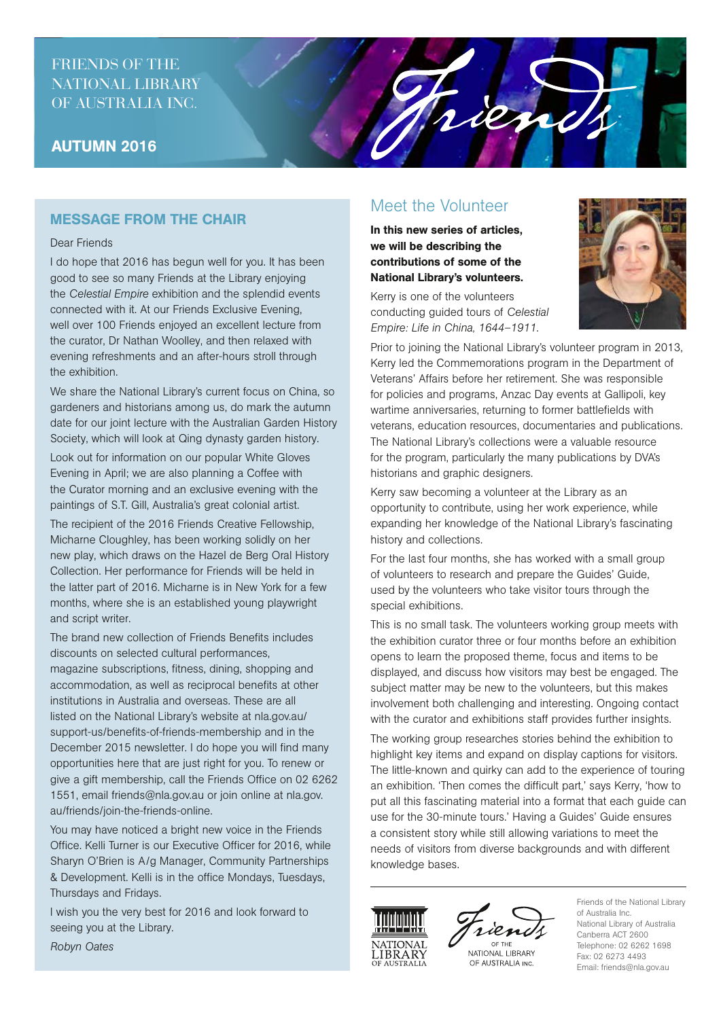## FRIENDS OF THE NATIONAL LIBRARY OF AUSTRALIA INC.

## AUTUMN 2016

## MESSAGE FROM THE CHAIR

#### Dear Friends

I do hope that 2016 has begun well for you. It has been good to see so many Friends at the Library enjoying the *Celestial Empire* exhibition and the splendid events connected with it. At our Friends Exclusive Evening, well over 100 Friends enjoyed an excellent lecture from the curator, Dr Nathan Woolley, and then relaxed with evening refreshments and an after-hours stroll through the exhibition.

We share the National Library's current focus on China, so gardeners and historians among us, do mark the autumn date for our joint lecture with the Australian Garden History Society, which will look at Qing dynasty garden history.

Look out for information on our popular White Gloves Evening in April; we are also planning a Coffee with the Curator morning and an exclusive evening with the paintings of S.T. Gill, Australia's great colonial artist.

The recipient of the 2016 Friends Creative Fellowship, Micharne Cloughley, has been working solidly on her new play, which draws on the Hazel de Berg Oral History Collection. Her performance for Friends will be held in the latter part of 2016. Micharne is in New York for a few months, where she is an established young playwright and script writer.

The brand new collection of Friends Benefits includes discounts on selected cultural performances, magazine subscriptions, fitness, dining, shopping and accommodation, as well as reciprocal benefits at other institutions in Australia and overseas. These are all listed on the National Library's website at nla.gov.au/ support-us/benefits-of-friends-membership and in the December 2015 newsletter. I do hope you will find many opportunities here that are just right for you. To renew or give a gift membership, call the Friends Office on 02 6262 1551, email friends@nla.gov.au or join online at nla.gov. au/friends/join-the-friends-online.

You may have noticed a bright new voice in the Friends Office. Kelli Turner is our Executive Officer for 2016, while Sharyn O'Brien is A/g Manager, Community Partnerships & Development. Kelli is in the office Mondays, Tuesdays, Thursdays and Fridays.

I wish you the very best for 2016 and look forward to seeing you at the Library.

# Meet the Volunteer

Trien

In this new series of articles, we will be describing the contributions of some of the National Library's volunteers.

Kerry is one of the volunteers conducting guided tours of *Celestial Empire: Life in China, 1644–1911*.



Prior to joining the National Library's volunteer program in 2013, Kerry led the Commemorations program in the Department of Veterans' Affairs before her retirement. She was responsible for policies and programs, Anzac Day events at Gallipoli, key wartime anniversaries, returning to former battlefields with veterans, education resources, documentaries and publications. The National Library's collections were a valuable resource for the program, particularly the many publications by DVA's historians and graphic designers.

Kerry saw becoming a volunteer at the Library as an opportunity to contribute, using her work experience, while expanding her knowledge of the National Library's fascinating history and collections.

For the last four months, she has worked with a small group of volunteers to research and prepare the Guides' Guide, used by the volunteers who take visitor tours through the special exhibitions.

This is no small task. The volunteers working group meets with the exhibition curator three or four months before an exhibition opens to learn the proposed theme, focus and items to be displayed, and discuss how visitors may best be engaged. The subject matter may be new to the volunteers, but this makes involvement both challenging and interesting. Ongoing contact with the curator and exhibitions staff provides further insights.

The working group researches stories behind the exhibition to highlight key items and expand on display captions for visitors. The little-known and quirky can add to the experience of touring an exhibition. 'Then comes the difficult part,' says Kerry, 'how to put all this fascinating material into a format that each guide can use for the 30-minute tours.' Having a Guides' Guide ensures a consistent story while still allowing variations to meet the needs of visitors from diverse backgrounds and with different knowledge bases.





NATIONAL LIBRARY OF AUSTRALIA INC.

Friends of the National Library of Australia Inc. National Library of Australia Canberra ACT 2600 Telephone: 02 6262 1698 Fax: 02 6273 4493 Email: friends@nla.gov.au

*Robyn Oates*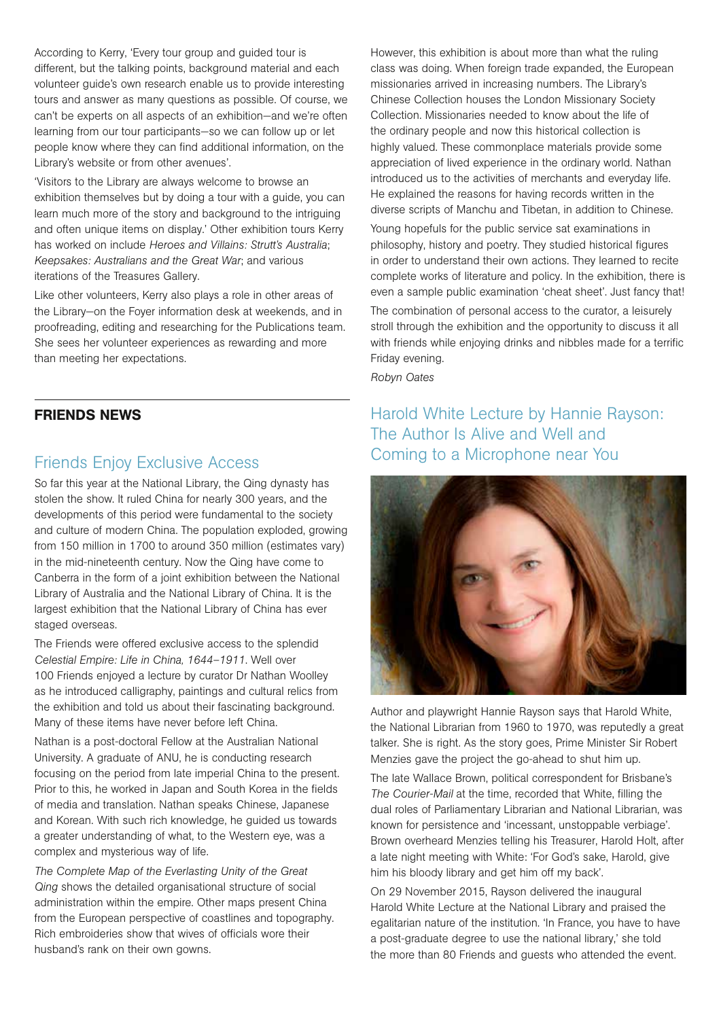According to Kerry, 'Every tour group and guided tour is different, but the talking points, background material and each volunteer guide's own research enable us to provide interesting tours and answer as many questions as possible. Of course, we can't be experts on all aspects of an exhibition—and we're often learning from our tour participants—so we can follow up or let people know where they can find additional information, on the Library's website or from other avenues'.

'Visitors to the Library are always welcome to browse an exhibition themselves but by doing a tour with a guide, you can learn much more of the story and background to the intriguing and often unique items on display.' Other exhibition tours Kerry has worked on include *Heroes and Villains: Strutt's Australia*; *Keepsakes: Australians and the Great War*; and various iterations of the Treasures Gallery.

Like other volunteers, Kerry also plays a role in other areas of the Library—on the Foyer information desk at weekends, and in proofreading, editing and researching for the Publications team. She sees her volunteer experiences as rewarding and more than meeting her expectations.

### FRIENDS NEWS

### Friends Enjoy Exclusive Access

So far this year at the National Library, the Qing dynasty has stolen the show. It ruled China for nearly 300 years, and the developments of this period were fundamental to the society and culture of modern China. The population exploded, growing from 150 million in 1700 to around 350 million (estimates vary) in the mid-nineteenth century. Now the Qing have come to Canberra in the form of a joint exhibition between the National Library of Australia and the National Library of China. It is the largest exhibition that the National Library of China has ever staged overseas.

The Friends were offered exclusive access to the splendid *Celestial Empire: Life in China, 1644–1911*. Well over 100 Friends enjoyed a lecture by curator Dr Nathan Woolley as he introduced calligraphy, paintings and cultural relics from the exhibition and told us about their fascinating background. Many of these items have never before left China.

Nathan is a post-doctoral Fellow at the Australian National University. A graduate of ANU, he is conducting research focusing on the period from late imperial China to the present. Prior to this, he worked in Japan and South Korea in the fields of media and translation. Nathan speaks Chinese, Japanese and Korean. With such rich knowledge, he guided us towards a greater understanding of what, to the Western eye, was a complex and mysterious way of life.

*The Complete Map of the Everlasting Unity of the Great Qing* shows the detailed organisational structure of social administration within the empire. Other maps present China from the European perspective of coastlines and topography. Rich embroideries show that wives of officials wore their husband's rank on their own gowns.

However, this exhibition is about more than what the ruling class was doing. When foreign trade expanded, the European missionaries arrived in increasing numbers. The Library's Chinese Collection houses the London Missionary Society Collection. Missionaries needed to know about the life of the ordinary people and now this historical collection is highly valued. These commonplace materials provide some appreciation of lived experience in the ordinary world. Nathan introduced us to the activities of merchants and everyday life. He explained the reasons for having records written in the diverse scripts of Manchu and Tibetan, in addition to Chinese.

Young hopefuls for the public service sat examinations in philosophy, history and poetry. They studied historical figures in order to understand their own actions. They learned to recite complete works of literature and policy. In the exhibition, there is even a sample public examination 'cheat sheet'. Just fancy that!

The combination of personal access to the curator, a leisurely stroll through the exhibition and the opportunity to discuss it all with friends while enjoying drinks and nibbles made for a terrific Friday evening.

*Robyn Oates*

Harold White Lecture by Hannie Rayson: The Author Is Alive and Well and Coming to a Microphone near You



Author and playwright Hannie Rayson says that Harold White, the National Librarian from 1960 to 1970, was reputedly a great talker. She is right. As the story goes, Prime Minister Sir Robert Menzies gave the project the go-ahead to shut him up.

The late Wallace Brown, political correspondent for Brisbane's *The Courier-Mail* at the time, recorded that White, filling the dual roles of Parliamentary Librarian and National Librarian, was known for persistence and 'incessant, unstoppable verbiage'. Brown overheard Menzies telling his Treasurer, Harold Holt, after a late night meeting with White: 'For God's sake, Harold, give him his bloody library and get him off my back'.

On 29 November 2015, Rayson delivered the inaugural Harold White Lecture at the National Library and praised the egalitarian nature of the institution. 'In France, you have to have a post-graduate degree to use the national library,' she told the more than 80 Friends and guests who attended the event.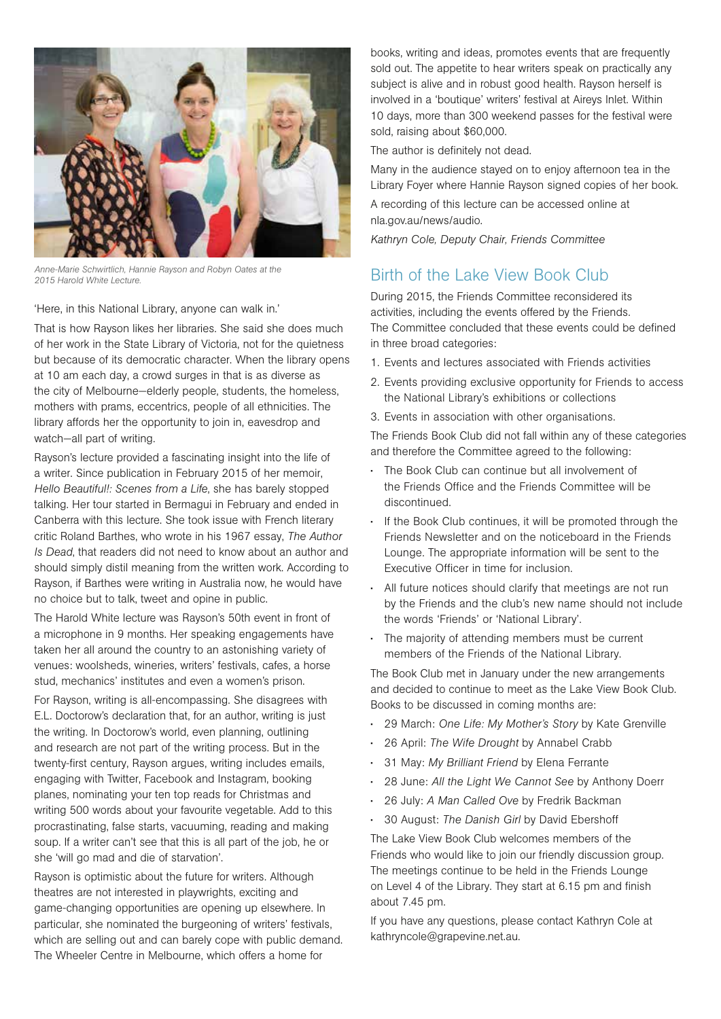

*Anne-Marie Schwirtlich, Hannie Rayson and Robyn Oates at the 2015 Harold White Lecture.*

'Here, in this National Library, anyone can walk in.'

That is how Rayson likes her libraries. She said she does much of her work in the State Library of Victoria, not for the quietness but because of its democratic character. When the library opens at 10 am each day, a crowd surges in that is as diverse as the city of Melbourne—elderly people, students, the homeless, mothers with prams, eccentrics, people of all ethnicities. The library affords her the opportunity to join in, eavesdrop and watch—all part of writing.

Rayson's lecture provided a fascinating insight into the life of a writer. Since publication in February 2015 of her memoir, *Hello Beautiful!: Scenes from a Life*, she has barely stopped talking. Her tour started in Bermagui in February and ended in Canberra with this lecture. She took issue with French literary critic Roland Barthes, who wrote in his 1967 essay, *The Author Is Dead*, that readers did not need to know about an author and should simply distil meaning from the written work. According to Rayson, if Barthes were writing in Australia now, he would have no choice but to talk, tweet and opine in public.

The Harold White lecture was Rayson's 50th event in front of a microphone in 9 months. Her speaking engagements have taken her all around the country to an astonishing variety of venues: woolsheds, wineries, writers' festivals, cafes, a horse stud, mechanics' institutes and even a women's prison.

For Rayson, writing is all-encompassing. She disagrees with E.L. Doctorow's declaration that, for an author, writing is just the writing. In Doctorow's world, even planning, outlining and research are not part of the writing process. But in the twenty-first century, Rayson argues, writing includes emails, engaging with Twitter, Facebook and Instagram, booking planes, nominating your ten top reads for Christmas and writing 500 words about your favourite vegetable. Add to this procrastinating, false starts, vacuuming, reading and making soup. If a writer can't see that this is all part of the job, he or she 'will go mad and die of starvation'.

Rayson is optimistic about the future for writers. Although theatres are not interested in playwrights, exciting and game-changing opportunities are opening up elsewhere. In particular, she nominated the burgeoning of writers' festivals, which are selling out and can barely cope with public demand. The Wheeler Centre in Melbourne, which offers a home for

books, writing and ideas, promotes events that are frequently sold out. The appetite to hear writers speak on practically any subject is alive and in robust good health. Rayson herself is involved in a 'boutique' writers' festival at Aireys Inlet. Within 10 days, more than 300 weekend passes for the festival were sold, raising about \$60,000.

The author is definitely not dead.

Many in the audience stayed on to enjoy afternoon tea in the Library Foyer where Hannie Rayson signed copies of her book.

A recording of this lecture can be accessed online at nla.gov.au/news/audio.

*Kathryn Cole, Deputy Chair, Friends Committee*

# Birth of the Lake View Book Club

During 2015, the Friends Committee reconsidered its activities, including the events offered by the Friends. The Committee concluded that these events could be defined in three broad categories:

- 1. Events and lectures associated with Friends activities
- 2. Events providing exclusive opportunity for Friends to access the National Library's exhibitions or collections
- 3. Events in association with other organisations.

The Friends Book Club did not fall within any of these categories and therefore the Committee agreed to the following:

- The Book Club can continue but all involvement of the Friends Office and the Friends Committee will be discontinued.
- If the Book Club continues, it will be promoted through the Friends Newsletter and on the noticeboard in the Friends Lounge. The appropriate information will be sent to the Executive Officer in time for inclusion.
- All future notices should clarify that meetings are not run by the Friends and the club's new name should not include the words 'Friends' or 'National Library'.
- The majority of attending members must be current members of the Friends of the National Library.

The Book Club met in January under the new arrangements and decided to continue to meet as the Lake View Book Club. Books to be discussed in coming months are:

- 29 March: *One Life: My Mother's Story* by Kate Grenville
- 26 April: *The Wife Drought* by Annabel Crabb
- 31 May: *My Brilliant Friend* by Elena Ferrante
- 28 June: *All the Light We Cannot See* by Anthony Doerr
- 26 July: *A Man Called Ove* by Fredrik Backman
- 30 August: *The Danish Girl* by David Ebershoff

The Lake View Book Club welcomes members of the Friends who would like to join our friendly discussion group. The meetings continue to be held in the Friends Lounge on Level 4 of the Library. They start at 6.15 pm and finish about 7.45 pm.

If you have any questions, please contact Kathryn Cole at kathryncole@grapevine.net.au.